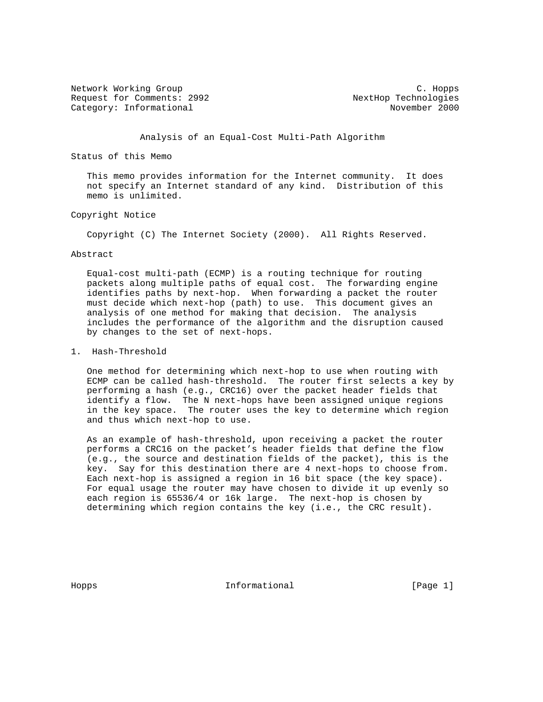Network Working Group and the contract of the contract of the contract of the contract of the contract of the contract of the contract of the contract of the contract of the contract of the contract of the contract of the Request for Comments: 2992<br>
Category: Informational NextHop Technologies Category: Informational

Analysis of an Equal-Cost Multi-Path Algorithm

Status of this Memo

 This memo provides information for the Internet community. It does not specify an Internet standard of any kind. Distribution of this memo is unlimited.

## Copyright Notice

Copyright (C) The Internet Society (2000). All Rights Reserved.

### Abstract

 Equal-cost multi-path (ECMP) is a routing technique for routing packets along multiple paths of equal cost. The forwarding engine identifies paths by next-hop. When forwarding a packet the router must decide which next-hop (path) to use. This document gives an analysis of one method for making that decision. The analysis includes the performance of the algorithm and the disruption caused by changes to the set of next-hops.

## 1. Hash-Threshold

 One method for determining which next-hop to use when routing with ECMP can be called hash-threshold. The router first selects a key by performing a hash (e.g., CRC16) over the packet header fields that identify a flow. The N next-hops have been assigned unique regions in the key space. The router uses the key to determine which region and thus which next-hop to use.

 As an example of hash-threshold, upon receiving a packet the router performs a CRC16 on the packet's header fields that define the flow (e.g., the source and destination fields of the packet), this is the key. Say for this destination there are 4 next-hops to choose from. Each next-hop is assigned a region in 16 bit space (the key space). For equal usage the router may have chosen to divide it up evenly so each region is 65536/4 or 16k large. The next-hop is chosen by determining which region contains the key (i.e., the CRC result).

Hopps 10 and 10 and 10 and 10 and 10 and 10 and 10 and 10 and 10 and 10 and 10 and 10 and 10 and 10 and 10 and 10 and 10 and 10 and 10 and 10 and 10 and 10 and 10 and 10 and 10 and 10 and 10 and 10 and 10 and 10 and 10 and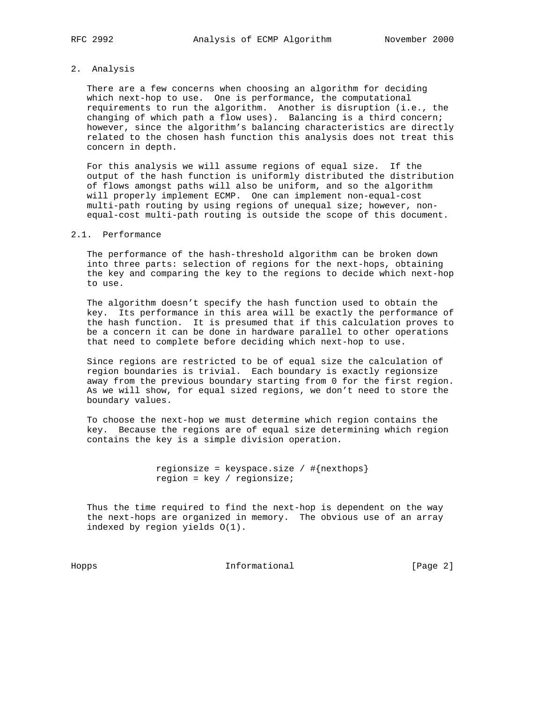## 2. Analysis

 There are a few concerns when choosing an algorithm for deciding which next-hop to use. One is performance, the computational requirements to run the algorithm. Another is disruption (i.e., the changing of which path a flow uses). Balancing is a third concern; however, since the algorithm's balancing characteristics are directly related to the chosen hash function this analysis does not treat this concern in depth.

 For this analysis we will assume regions of equal size. If the output of the hash function is uniformly distributed the distribution of flows amongst paths will also be uniform, and so the algorithm will properly implement ECMP. One can implement non-equal-cost multi-path routing by using regions of unequal size; however, non equal-cost multi-path routing is outside the scope of this document.

## 2.1. Performance

 The performance of the hash-threshold algorithm can be broken down into three parts: selection of regions for the next-hops, obtaining the key and comparing the key to the regions to decide which next-hop to use.

 The algorithm doesn't specify the hash function used to obtain the key. Its performance in this area will be exactly the performance of the hash function. It is presumed that if this calculation proves to be a concern it can be done in hardware parallel to other operations that need to complete before deciding which next-hop to use.

 Since regions are restricted to be of equal size the calculation of region boundaries is trivial. Each boundary is exactly regionsize away from the previous boundary starting from 0 for the first region. As we will show, for equal sized regions, we don't need to store the boundary values.

 To choose the next-hop we must determine which region contains the key. Because the regions are of equal size determining which region contains the key is a simple division operation.

> regionsize = keyspace.size /  $\#\{nexthops\}$ region = key / regionsize;

 Thus the time required to find the next-hop is dependent on the way the next-hops are organized in memory. The obvious use of an array indexed by region yields O(1).

Hopps Informational [Page 2]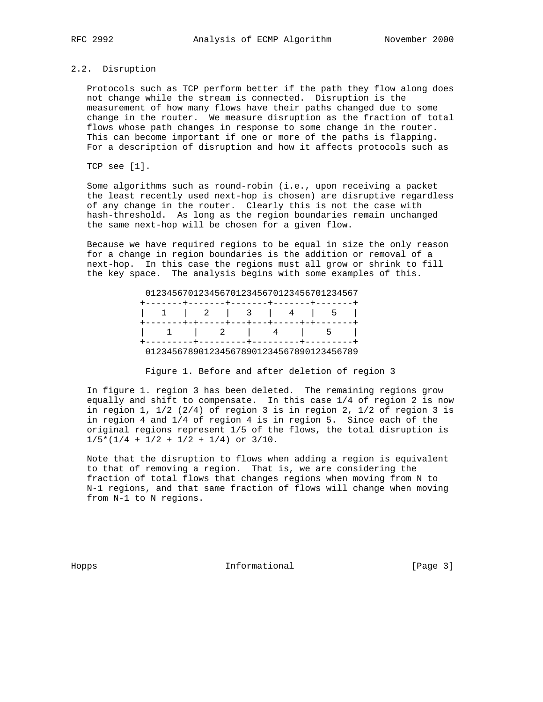## 2.2. Disruption

 Protocols such as TCP perform better if the path they flow along does not change while the stream is connected. Disruption is the measurement of how many flows have their paths changed due to some change in the router. We measure disruption as the fraction of total flows whose path changes in response to some change in the router. This can become important if one or more of the paths is flapping. For a description of disruption and how it affects protocols such as

TCP see [1].

 Some algorithms such as round-robin (i.e., upon receiving a packet the least recently used next-hop is chosen) are disruptive regardless of any change in the router. Clearly this is not the case with hash-threshold. As long as the region boundaries remain unchanged the same next-hop will be chosen for a given flow.

 Because we have required regions to be equal in size the only reason for a change in region boundaries is the addition or removal of a next-hop. In this case the regions must all grow or shrink to fill the key space. The analysis begins with some examples of this.

# 0123456701234567012345670123456701234567

|  |  | 1   2   3   4   5                                        |  |
|--|--|----------------------------------------------------------|--|
|  |  | -------+-+-----+---+---+----+-+-+-----                   |  |
|  |  | 1   2   4   5  <br>---------+---------+--------+-------- |  |
|  |  | 0123456789012345678901234567890123456789                 |  |

Figure 1. Before and after deletion of region 3

 In figure 1. region 3 has been deleted. The remaining regions grow equally and shift to compensate. In this case 1/4 of region 2 is now in region 1,  $1/2$  (2/4) of region 3 is in region 2,  $1/2$  of region 3 is in region 4 and 1/4 of region 4 is in region 5. Since each of the original regions represent 1/5 of the flows, the total disruption is  $1/5*(1/4 + 1/2 + 1/2 + 1/4)$  or  $3/10$ .

 Note that the disruption to flows when adding a region is equivalent to that of removing a region. That is, we are considering the fraction of total flows that changes regions when moving from N to N-1 regions, and that same fraction of flows will change when moving from N-1 to N regions.

Hopps 10 1nformational 1110 [Page 3]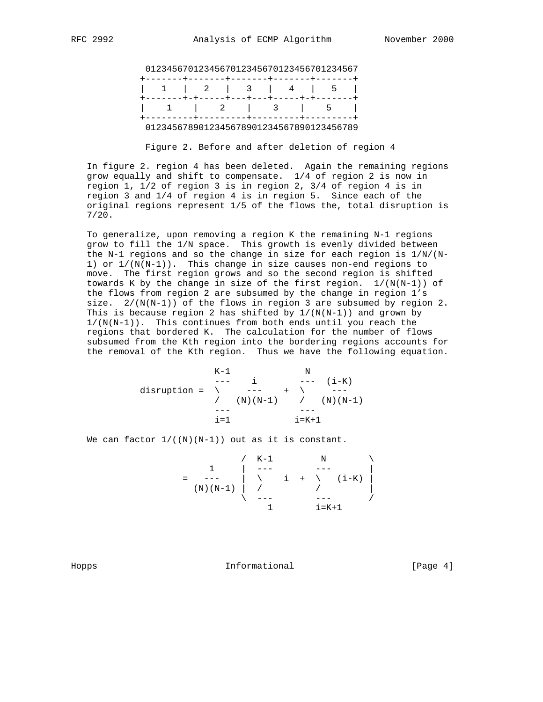|  |  |  | 0123456701234567012345670123456701234567            |  |  |  |
|--|--|--|-----------------------------------------------------|--|--|--|
|  |  |  |                                                     |  |  |  |
|  |  |  | $1 \quad 1 \quad 2 \quad 3 \quad 4 \quad 5 \quad 1$ |  |  |  |

|  |  | 1   2   3   5                            |
|--|--|------------------------------------------|
|  |  |                                          |
|  |  | 0123456789012345678901234567890123456789 |

Figure 2. Before and after deletion of region 4

 In figure 2. region 4 has been deleted. Again the remaining regions grow equally and shift to compensate. 1/4 of region 2 is now in region 1, 1/2 of region 3 is in region 2, 3/4 of region 4 is in region 3 and 1/4 of region 4 is in region 5. Since each of the original regions represent 1/5 of the flows the, total disruption is 7/20.

 To generalize, upon removing a region K the remaining N-1 regions grow to fill the 1/N space. This growth is evenly divided between the N-1 regions and so the change in size for each region is  $1/N/(N-$ 1) or  $1/(N(N-1))$ . This change in size causes non-end regions to move. The first region grows and so the second region is shifted towards K by the change in size of the first region.  $1/(N(N-1))$  of the flows from region 2 are subsumed by the change in region 1's size.  $2/(N(N-1))$  of the flows in region 3 are subsumed by region 2. This is because region 2 has shifted by  $1/(N(N-1))$  and grown by 1/(N(N-1)). This continues from both ends until you reach the regions that bordered K. The calculation for the number of flows subsumed from the Kth region into the bordering regions accounts for the removal of the Kth region. Thus we have the following equation.

 K-1 N --- i --- (i-K) disruption = \ --- + \ --- / (N)(N-1) / (N)(N-1) --- -- i=1 i=K+1

We can factor  $1/((N)(N-1))$  out as it is constant.

$$
= \begin{array}{c|c|c|c|c} 1 & & & & N & \\ \hline 1 & & & & & \\ \hline (N)(N-1) & & & & & \\ & & & & & \\ \end{array}
$$

Hopps 10 1nformational Theorem Informational [Page 4]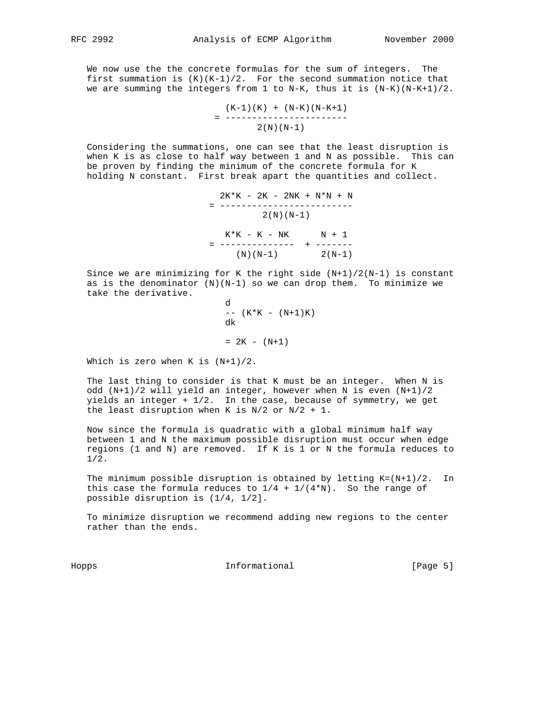We now use the the concrete formulas for the sum of integers. The first summation is  $(K)(K-1)/2$ . For the second summation notice that we are summing the integers from 1 to N-K, thus it is  $(N-K)$   $(N-K+1)/2$ .

$$
= \frac{(K-1)(K) + (N-K)(N-K+1)}{----------}
$$
  
2(N)(N-1)

 Considering the summations, one can see that the least disruption is when K is as close to half way between 1 and N as possible. This can be proven by finding the minimum of the concrete formula for K holding N constant. First break apart the quantities and collect.

> 2K\*K - 2K - 2NK + N\*N + N = -------------------------  $2(N)(N-1)$  $K*K - K - NK$   $N + 1$  = -------------- + -------  $(N)(N-1)$  2(N-1)

Since we are minimizing for K the right side  $(N+1)/2(N-1)$  is constant as is the denominator  $(N)(N-1)$  so we can drop them. To minimize we take the derivative.

```
d<sub>d</sub> a bha anns an t-ainm an t-ainm an t-ainm an t-ainm an t-ainm an t-ainm an t-ainm an t-ainm an t-ainm an t-ainm an t-ainm an t-ainm an t-ainm an t-ainm an t-ainm an t-ainm an t-ainm an t-ainm an t-ainm an t-ainm an t-a
                                                                                                                                                        -- (K*K - (N+1)K)dk i de broede bestjer it de broede bestjer it de broede bestjer it de broede bestjer it de broede bestjer it<br>De bestjer it de bestjer it de bestjer it de bestjer it de bestjer it de bestjer it de bestjer it de bestjer i
                                                                                                                                                        = 2K - (N+1)
```
Which is zero when K is (N+1)/2.

 The last thing to consider is that K must be an integer. When N is odd (N+1)/2 will yield an integer, however when N is even (N+1)/2 yields an integer  $+1/2$ . In the case, because of symmetry, we get the least disruption when K is  $N/2$  or  $N/2 + 1$ .

 Now since the formula is quadratic with a global minimum half way between 1 and N the maximum possible disruption must occur when edge regions (1 and N) are removed. If K is 1 or N the formula reduces to 1/2.

The minimum possible disruption is obtained by letting  $K = (N+1)/2$ . In this case the formula reduces to  $1/4 + 1/(4*N)$ . So the range of possible disruption is (1/4, 1/2].

 To minimize disruption we recommend adding new regions to the center rather than the ends.

Hopps 10 1nformational 100 mm informational [Page 5]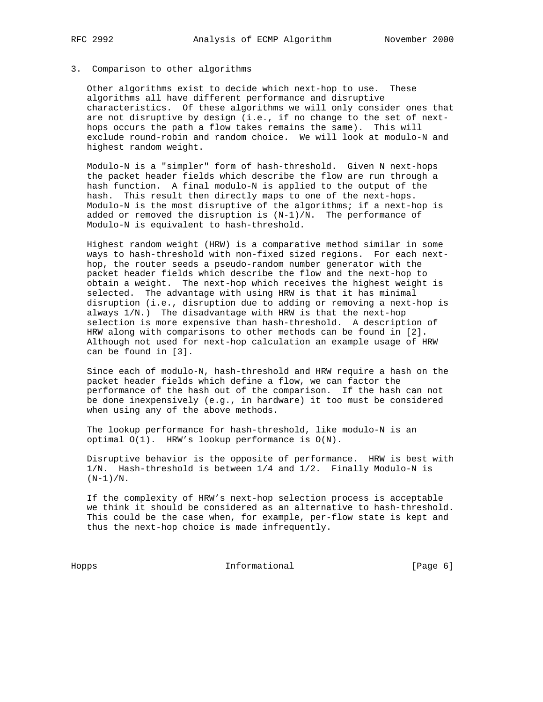## 3. Comparison to other algorithms

 Other algorithms exist to decide which next-hop to use. These algorithms all have different performance and disruptive characteristics. Of these algorithms we will only consider ones that are not disruptive by design (i.e., if no change to the set of next hops occurs the path a flow takes remains the same). This will exclude round-robin and random choice. We will look at modulo-N and highest random weight.

 Modulo-N is a "simpler" form of hash-threshold. Given N next-hops the packet header fields which describe the flow are run through a hash function. A final modulo-N is applied to the output of the hash. This result then directly maps to one of the next-hops. Modulo-N is the most disruptive of the algorithms; if a next-hop is added or removed the disruption is  $(N-1)/N$ . The performance of Modulo-N is equivalent to hash-threshold.

 Highest random weight (HRW) is a comparative method similar in some ways to hash-threshold with non-fixed sized regions. For each next hop, the router seeds a pseudo-random number generator with the packet header fields which describe the flow and the next-hop to obtain a weight. The next-hop which receives the highest weight is selected. The advantage with using HRW is that it has minimal disruption (i.e., disruption due to adding or removing a next-hop is always 1/N.) The disadvantage with HRW is that the next-hop selection is more expensive than hash-threshold. A description of HRW along with comparisons to other methods can be found in [2]. Although not used for next-hop calculation an example usage of HRW can be found in [3].

 Since each of modulo-N, hash-threshold and HRW require a hash on the packet header fields which define a flow, we can factor the performance of the hash out of the comparison. If the hash can not be done inexpensively (e.g., in hardware) it too must be considered when using any of the above methods.

 The lookup performance for hash-threshold, like modulo-N is an optimal O(1). HRW's lookup performance is O(N).

 Disruptive behavior is the opposite of performance. HRW is best with 1/N. Hash-threshold is between 1/4 and 1/2. Finally Modulo-N is  $(N-1)/N$ .

 If the complexity of HRW's next-hop selection process is acceptable we think it should be considered as an alternative to hash-threshold. This could be the case when, for example, per-flow state is kept and thus the next-hop choice is made infrequently.

Hopps Informational [Page 6]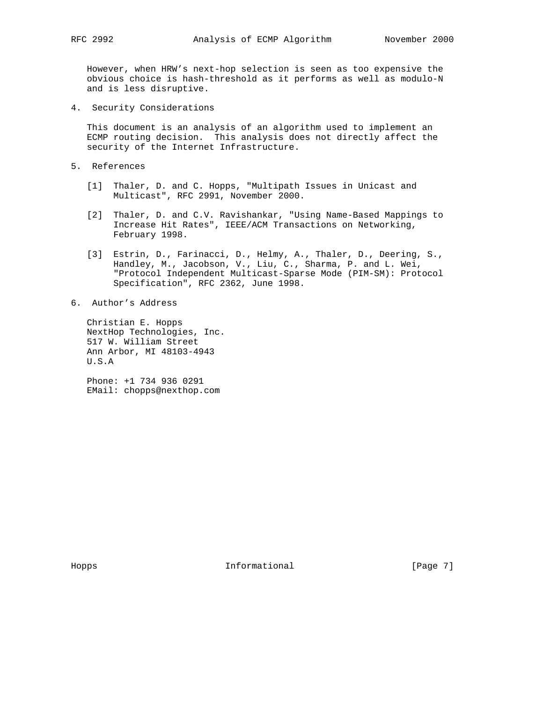However, when HRW's next-hop selection is seen as too expensive the obvious choice is hash-threshold as it performs as well as modulo-N and is less disruptive.

4. Security Considerations

 This document is an analysis of an algorithm used to implement an ECMP routing decision. This analysis does not directly affect the security of the Internet Infrastructure.

- 5. References
	- [1] Thaler, D. and C. Hopps, "Multipath Issues in Unicast and Multicast", RFC 2991, November 2000.
	- [2] Thaler, D. and C.V. Ravishankar, "Using Name-Based Mappings to Increase Hit Rates", IEEE/ACM Transactions on Networking, February 1998.
	- [3] Estrin, D., Farinacci, D., Helmy, A., Thaler, D., Deering, S., Handley, M., Jacobson, V., Liu, C., Sharma, P. and L. Wei, "Protocol Independent Multicast-Sparse Mode (PIM-SM): Protocol Specification", RFC 2362, June 1998.
- 6. Author's Address

 Christian E. Hopps NextHop Technologies, Inc. 517 W. William Street Ann Arbor, MI 48103-4943 U.S.A

 Phone: +1 734 936 0291 EMail: chopps@nexthop.com

Hopps **Informational Informational** [Page 7]